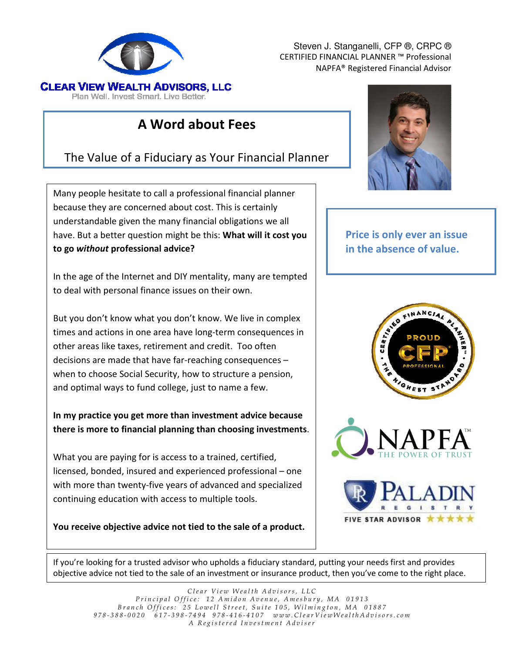

Steven J. Stanganelli, CFP ®, CRPC ® CERTIFIED FINANCIAL PLANNER ™ Professional NAPFA® Registered Financial Advisor

# A Word about Fees

## The Value of a Fiduciary as Your Financial Planner

Many people hesitate to call a professional financial planner because they are concerned about cost. This is certainly understandable given the many financial obligations we all have. But a better question might be this: What will it cost you to go without professional advice?

In the age of the Internet and DIY mentality, many are tempted to deal with personal finance issues on their own.

But you don't know what you don't know. We live in complex times and actions in one area have long-term consequences in other areas like taxes, retirement and credit. Too often decisions are made that have far-reaching consequences – when to choose Social Security, how to structure a pension, and optimal ways to fund college, just to name a few.

In my practice you get more than investment advice because there is more to financial planning than choosing investments.

What you are paying for is access to a trained, certified, licensed, bonded, insured and experienced professional – one with more than twenty-five years of advanced and specialized continuing education with access to multiple tools.

You receive objective advice not tied to the sale of a product.



### Price is only ever an issue in the absence of value.



FIVE STAR ADVISOR \*\*

If you're looking for a trusted advisor who upholds a fiduciary standard, putting your needs first and provides objective advice not tied to the sale of an investment or insurance product, then you've come to the right place.